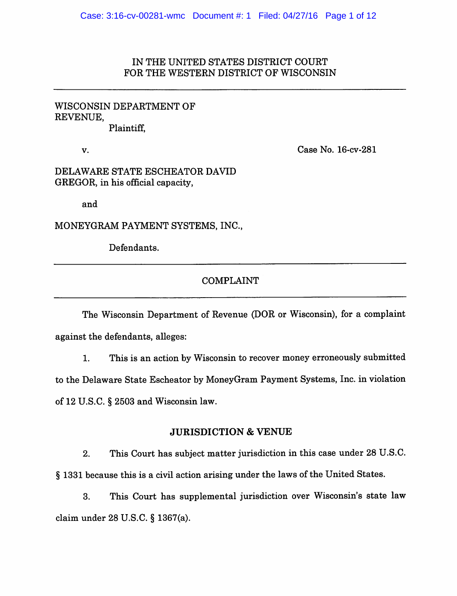# IN THE UNITED STATES DISTRICT COURT FOR THE WESTERN DISTRICT OF WISCONSIN

# WISCONSIN DEPARTMENT OF REVENUE, Plaintiff,

V. Case No. 16-cv-281

DELAWARE STATE ESCHEATOR DAVID GREGOR, in his official capacity,

and

MONEYGRAM PAYMENT SYSTEMS. INC.,

Defendants.

# COMPLAINT

The Wisconsin Department of Revenue (DOR or Wisconsin), for a complaint against the defendants, alleges:

1. This is an action by Wisconsin to recover money erroneously submitted to the Delaware State Escheator by MoneyGram Payment Systems, Inc. in violation of 12 U.S.C. § 2503 and Wisconsin law.

## JURISDICTION & VENUE

2. This Court has subject matter jurisdiction in this case under 28 U.S.C. § 1331 because this is a civil action arising under the laws of the United States.

3. This Court has supplemental jurisdiction over Wisconsin's state law claim under 28 U.S.C. § 1367(a).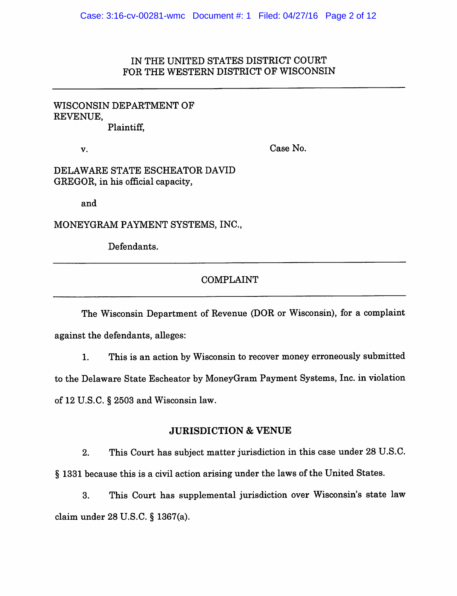# IN THE UNITED STATES DISTRICT COURT FOR THE WESTERN DISTRICT OF WISCONSIN

## WISCONSIN DEPARTMENT OF REVENUE, Plaintiff,

v. Case No.

DELAWARE STATE ESCHEATOR DAVID GREGOR, in his official capacity,

and

MONEYGRAM PAYMENT SYSTEMS, INC.,

Defendants.

# COMPLAINT

The Wisconsin Department of Revenue (DOR or Wisconsin), for a complaint against the defendants, alleges:

1. This is an action by Wisconsin to recover money erroneously submitted to the Delaware State Escheator by MoneyGram Payment Systems, Inc. in violation of 12 U.S.C. § 2503 and Wisconsin law.

## JURISDICTION & VENUE

2. This Court has subject matter jurisdiction in this case under 28 U.S.C. § 1331 because this is a civil action arising under the laws of the United States.

3. This Court has supplemental jurisdiction over Wisconsin's state law claim under 28 U.S.C. § 1367(a).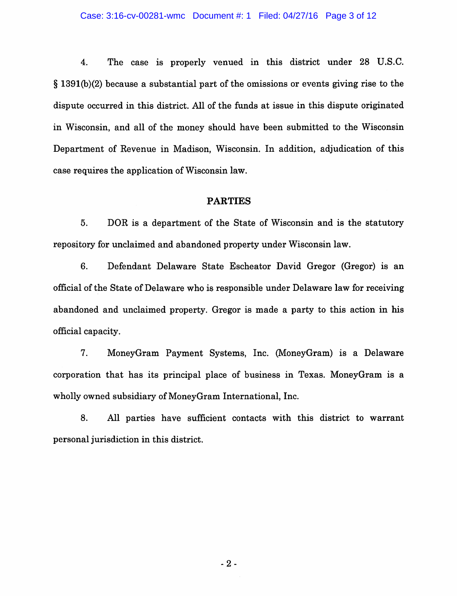#### Case: 3:16-cv-00281-wmc Document #: 1 Filed: 04/27/16 Page 3 of 12

4. The case is properly venued in this district under 28 U.S.C. § 1391(b)(2) because a substantial part of the omissions or events giving rise to the dispute occurred in this district. All of the funds at issue in this dispute originated in Wisconsin, and all of the money should have been submitted to the Wisconsin Department of Revenue in Madison, Wisconsin. In addition, adjudication of this case requires the application of Wisconsin law.

## PARTIES

5. DOR is a department of the State of Wisconsin and is the statutory repository for unclaimed and abandoned property under Wisconsin law.

6. Defendant Delaware State Escheator David Gregor (Gregor) is an official of the State of Delaware who is responsible under Delaware law for receiving abandoned and unclaimed property. Gregor is made a party to this action in his official capacity.

7. MoneyGram Payment Systems, Inc. (MoneyGram) is a Delaware corporation that has its principal place of business in Texas. MoneyGram is a wholly owned subsidiary of MoneyGram International, Inc.

8. All parties have sufficient contacts with this district to warrant personal jurisdiction in this district.

-2-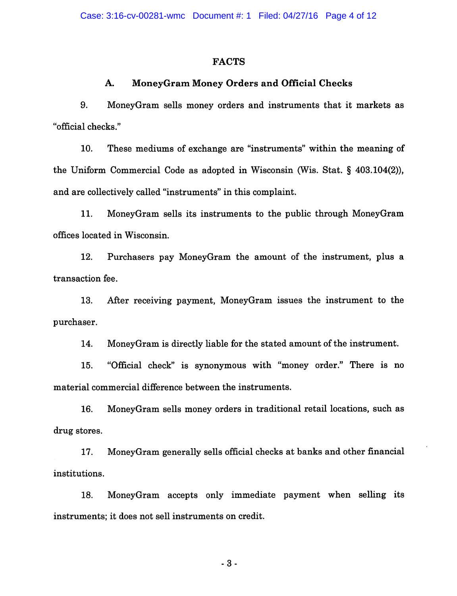## **FACTS**

## A. MoneyGram Money Orders and Official Checks

9. MoneyGram sells money orders and instruments that it markets as "official checks."

10. These mediums of exchange are "instruments" within the meaning of the Uniform Commercial Code as adopted in Wisconsin (Wis. Stat. § 403.104(2)), and are collectively called "instruments" in this complaint.

11. MoneyGram sells its instruments to the public through MoneyGram offices located in Wisconsin.

12. Purchasers pay MoneyGram the amount of the instrument, plus a transaction fee.

13. After receiving payment, MoneyGram issues the instrument to the purchaser.

14. MoneyGram is directly liable for the stated amount of the instrument.

15. "Official check" is synonymous with "money order." There is no material commercial difference between the instruments.

16. MoneyGram sells money orders in traditional retail locations, such as drug stores.

17. MoneyGram generally sells official checks at banks and other financial institutions.

18. MoneyGram accepts only immediate payment when selling its instruments; it does not sell instruments on credit.

3-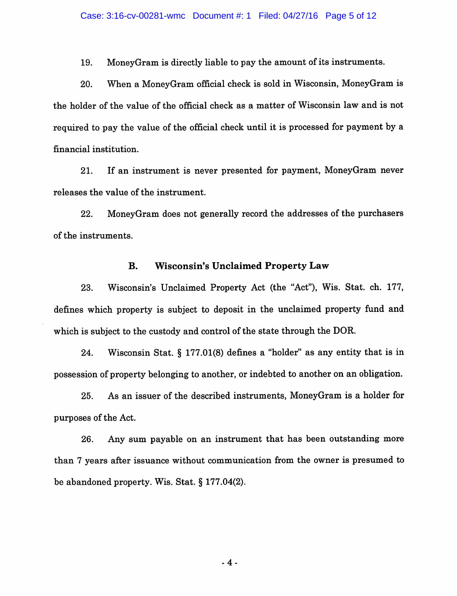19. MoneyGram is directly liable to pay the amount of its instruments.

20. When a MoneyGram official check is sold in Wisconsin, MoneyGram is the holder of the value of the official check as a matter of Wisconsin law and is not required to pay the value of the official check until it is processed for payment by a financial institution.

21. If an instrument is never presented for payment, MoneyGram never releases the value of the instrument.

22. MoneyGram does not generally record the addresses of the purchasers of the instruments.

## B. Wisconsin's Unclaimed Property Law

23. Wisconsin's Unclaimed Property Act (the "Act"), Wis. Stat. ch. 177, defines which property is subject to deposit in the unclaimed property fund and which is subject to the custody and control of the state through the DOR.

24. Wisconsin Stat. § 177.01(8) defines a "holder" as any entity that is in possession of property belonging to another, or indebted to another on an obligation.

25. As an issuer of the described instruments, MoneyGram is a holder for purposes of the Act.

26. Any sum payable on an instrument that has been outstanding more than 7 years after issuance without communication from the owner is presumed to be abandoned property. Wis. Stat. § 177.04(2).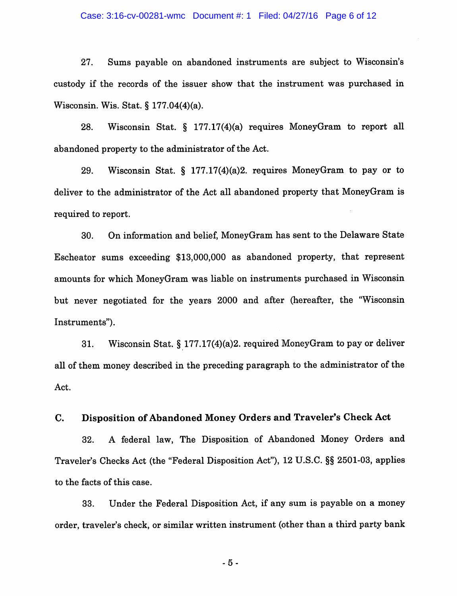#### Case: 3:16-cv-00281-wmc Document #: 1 Filed: 04/27/16 Page 6 of 12

27. Sums payable on abandoned instruments are subject to Wisconsin's custody if the records of the issuer show that the instrument was purchased in Wisconsin. Wis. Stat. § 177.04(4)(a).

28. Wisconsin Stat. § 177.17(4)(a) requires MoneyGram to report all abandoned property to the administrator of the Act.

29. Wisconsin Stat. § 177.17(4)(a)2. requires MoneyGram to pay or to deliver to the administrator of the Act all abandoned property that MoneyGram is required to report.

30. On information and belief, MoneyGram has sent to the Delaware State Escheator sums exceeding \$13,000,000 as abandoned property, that represent amounts for which MoneyGram was liable on instruments purchased in Wisconsin but never negotiated for the years 2000 and after (hereafter, the "Wisconsin Instruments").

31. Wisconsin Stat. § 177.17(4)(a)2. required MoneyGram to pay or deliver all of them money described in the preceding paragraph to the administrator of the Act.

## C. Disposition of Abandoned Money Orders and Traveler's Check Act

32. A federal law. The Disposition of Abandoned Money Orders and Traveler's Checks Act (the "Federal Disposition Act"), 12 U.S.C. §§ 2501-03, applies to the facts of this case.

33. Under the Federal Disposition Act, if any sum is payable on a money order, traveler's check, or similar written instrument (other than a third party bank

 $-5-$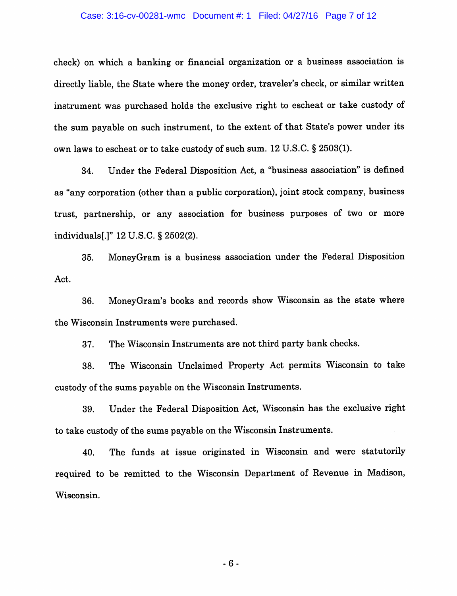#### Case: 3:16-cv-00281-wmc Document #: 1 Filed: 04/27/16 Page 7 of 12

check) on which a banking or financial organization or a business association is directly liable, the State where the money order, traveler's check, or similar written instrument was purchased holds the exclusive right to escheat or take custody of the sum payable on such instrument, to the extent of that State's power under its own laws to escheat or to take custody of such sum. 12 U.S.C. § 2503(1).

34. Under the Federal Disposition Act, a "business association" is defined as "any corporation (other than a public corporation), joint stock company, business trust, partnership, or any association for business purposes of two or more individuals[.]" 12 U.S.C. § 2502(2).

35. MoneyGram is a business association under the Federal Disposition Act.

36. MoneyGram's books and records show Wisconsin as the state where the Wisconsin Instruments were purchased.

37. The Wisconsin Instruments are not third party bank checks.

38. The Wisconsin Unclaimed Property Act permits Wisconsin to take custody of the sums payable on the Wisconsin Instruments.

39. Under the Federal Disposition Act, Wisconsin has the exclusive right to take custody of the sums payable on the Wisconsin Instruments.

40. The funds at issue originated in Wisconsin and were statutorily required to be remitted to the Wisconsin Department of Revenue in Madison, Wisconsin.

-6-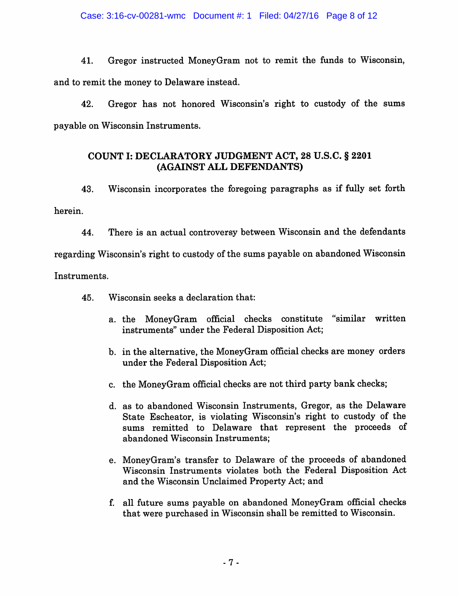41. Gregor instructed MoneyGram not to remit the funds to Wisconsin, and to remit the money to Delaware instead.

42. Gregor has not honored Wisconsin's right to custody of the sums payable on Wisconsin Instruments.

# COUNT I: DECLARATORY JUDGMENT ACT, 28 U.S.C. § 2201 (AGAINST ALL DEFENDANTS)

43. Wisconsin incorporates the foregoing paragraphs as if fully set forth herein.

44. There is an actual controversy between Wisconsin and the defendants regarding Wisconsin's right to custody of the sums payable on abandoned Wisconsin Instruments.

45. Wisconsin seeks a declaration that:

- a. the MoneyGram official checks constitute "similar written instruments" under the Federal Disposition Act;
- b. in the alternative, the MoneyGram official checks are money orders under the Federal Disposition Act;
- c. the MoneyGram official checks are not third party bank checks;
- d. as to abandoned Wisconsin Instruments, Gregor, as the Delaware State Escheator, is violating Wisconsin's right to custody of the sums remitted to Delaware that represent the proceeds of abandoned Wisconsin Instruments;
- e. MoneyGram's transfer to Delaware of the proceeds of abandoned Wisconsin Instruments violates both the Federal Disposition Act and the Wisconsin Unclaimed Property Act; and
- f. all future sums payable on abandoned MoneyGram official checks that were purchased in Wisconsin shall be remitted to Wisconsin.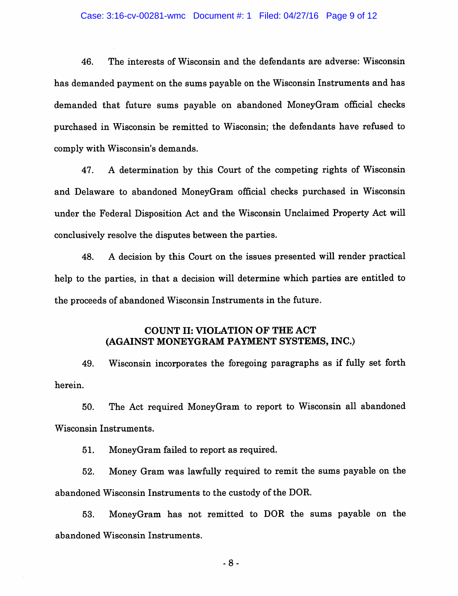46. The interests of Wisconsin and the defendants are adverse: Wisconsin has demanded payment on the sums payable on the Wisconsin Instruments and has demanded that future sums payable on abandoned MoneyGram official checks purchased in Wisconsin be remitted to Wisconsin; the defendants have refused to comply with Wisconsin's demands.

47. A determination by this Court of the competing rights of Wisconsin and Delaware to abandoned MoneyGram official checks purchased in Wisconsin under the Federal Disposition Act and the Wisconsin Unclaimed Property Act will conclusively resolve the disputes between the parties.

48. A decision by this Court on the issues presented will render practical help to the parties, in that a decision will determine which parties are entitled to the proceeds of abandoned Wisconsin Instruments in the future.

# COUNT II: VIOLATION OF THE ACT (AGAINST MONEYGRAM PAYMENT SYSTEMS, INC.)

49. Wisconsin incorporates the foregoing paragraphs as if fully set forth herein.

50. The Act required MoneyGram to report to Wisconsin all abandoned Wisconsin Instruments.

51. MoneyGram failed to report as required.

52. Money Gram was lawfully required to remit the sums payable on the abandoned Wisconsin Instruments to the custody of the DOR.

53. MoneyGram has not remitted to DOR the sums payable on the abandoned Wisconsin Instruments.

-8-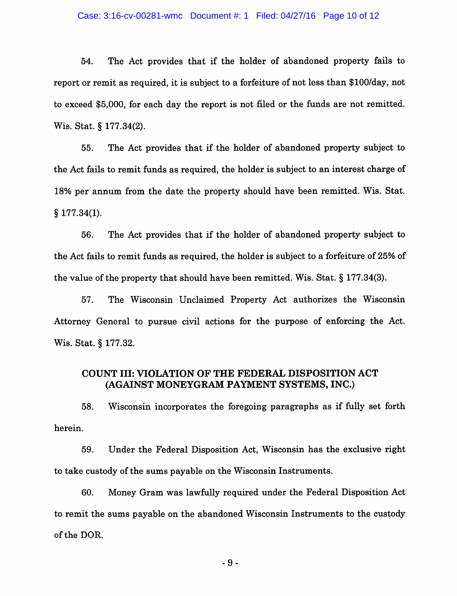#### Case: 3:16-cv-00281-wmc Document #: 1 Filed: 04/27/16 Page 10 of 12

54. The Act provides that if the holder of abandoned property fails to report or remit as required, it is subject to a forfeiture of not less than \$100/day, not to exceed \$5,000, for each day the report is not filed or the funds are not remitted. Wis. Stat. § 177.34(2).

55. The Act provides that if the holder of abandoned property subject to the Act fails to remit funds as required, the holder is subject to an interest charge of 18% per annum from the date the property should have been remitted. Wis. Stat. § 177.34(1).

56. The Act provides that if the holder of abandoned property subject to the Act fails to remit funds as required, the holder is subject to a forfeiture of 25% of the value of the property that should have been remitted. Wis. Stat. § 177.34(3).

57. The Wisconsin Unclaimed Property Act authorizes the Wisconsin Attorney General to pursue civil actions for the purpose of enforcing the Act. Wis. Stat. § 177.32.

# COUNT III; VIOLATION OF THE FEDERAL DISPOSITION ACT (AGAINST MONEYGRAM PAYMENT SYSTEMS, INC.)

58. Wisconsin incorporates the foregoing paragraphs as if fully set forth herein.

59. Under the Federal Disposition Act, Wisconsin has the exclusive right to take custody of the sums payable on the Wisconsin Instruments.

60. Money Gram was lawfully required under the Federal Disposition Act to remit the sums payable on the abandoned Wisconsin Instruments to the custody of the DOR.

-9-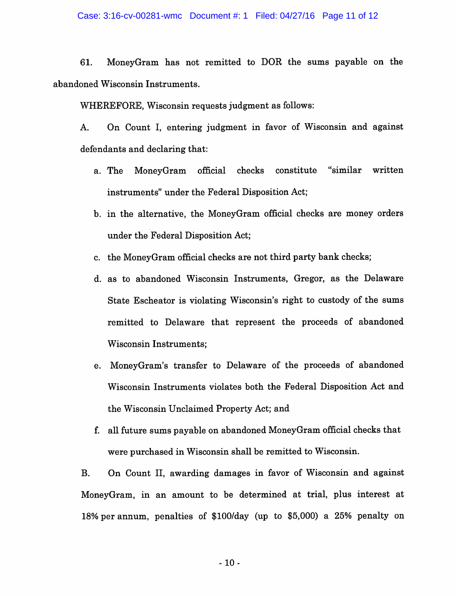#### Case: 3:16-cv-00281-wmc Document #: 1 Filed: 04/27/16 Page 11 of 12

61. MoneyGram has not remitted to DOR the sums payable on the abandoned Wisconsin Instruments.

WHEREFORE, Wisconsin requests judgment as follows:

A. On Count I, entering judgment in favor of Wisconsin and against defendants and declaring that:

- a. The MoneyGram official checks constitute "similar written instruments" under the Federal Disposition Act;
- b. in the alternative, the MoneyGram official checks are money orders under the Federal Disposition Act;
- c. the MoneyGram official checks are not third party bank checks;
- d. as to abandoned Wisconsin Instruments, Gregor, as the Delaware State Escheator is violating Wisconsin's right to custody of the sums remitted to Delaware that represent the proceeds of abandoned Wisconsin Instruments;
- e. MoneyGram's transfer to Delaware of the proceeds of abandoned Wisconsin Instruments violates both the Federal Disposition Act and the Wisconsin Unclaimed Property Act; and
- f. all future sums payable on abandoned MoneyGram official checks that were purchased in Wisconsin shall be remitted to Wisconsin.

B. On Count II, awarding damages in favor of Wisconsin and against MoneyGram, in an amount to be determined at trial, plus interest at 18% per annum, penalties of \$100/day (up to \$5,000) a 25% penalty on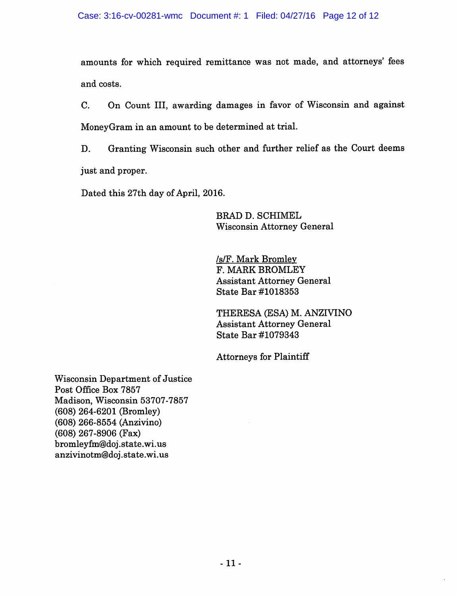amounts for which required remittance was not made, and attorneys' fees and costs.

C. On Count III, awarding damages in favor of Wisconsin and against MoneyGram in an amount to be determined at trial.

D. Granting Wisconsin such other and further relief as the Court deems just and proper.

Dated this 27th day of April, 2016.

BRAD D. SCHIMEL Wisconsin Attorney General

/s/F. Mark Bromlev F. MARK BROMLEY Assistant Attorney General State Bar #1018353

THERESA (ESA) M. ANZIVINO Assistant Attorney General State Bar #1079343

Attorneys for Plaintiff

Wisconsin Department of Justice Post Office Box 7857 Madison, Wisconsin 53707-7857 (608) 264-6201 (Bromley) (608) 266-8554 (Anzivino) (608) 267-8906 (Fax) bromleyfm@doj.state.wi.us anzivinotm@doj.state.wi.us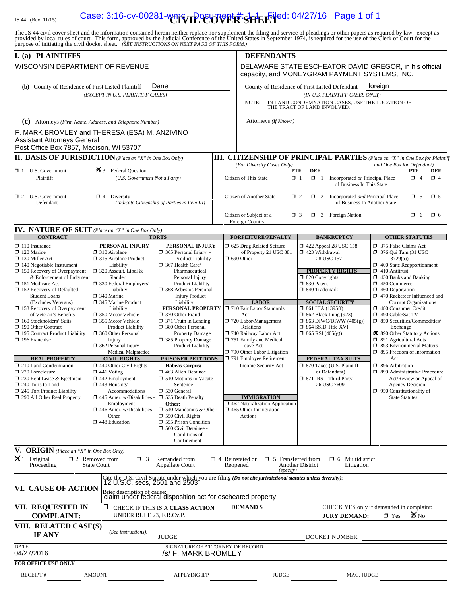# IS 44 (Rev. 11/15) **Case: 3:16-cv-00281-wmc Document #: SHEET** ed: 04/27/16 Page 1 of 1

The JS 44 civil cover sheet and the information contained herein neither replace nor supplement the filing and service of pleadings or other papers as required by law, except as provided by local rules of court. This form,

| I. (a) PLAINTIFFS                                                             |                                                         |                                                                                           |                        | <b>DEFENDANTS</b>                                                                                                                                     |                                                                                                                  |                                                                                     |
|-------------------------------------------------------------------------------|---------------------------------------------------------|-------------------------------------------------------------------------------------------|------------------------|-------------------------------------------------------------------------------------------------------------------------------------------------------|------------------------------------------------------------------------------------------------------------------|-------------------------------------------------------------------------------------|
| WISCONSIN DEPARTMENT OF REVENUE                                               |                                                         |                                                                                           |                        | DELAWARE STATE ESCHEATOR DAVID GREGOR, in his official<br>capacity, and MONEYGRAM PAYMENT SYSTEMS, INC.                                               |                                                                                                                  |                                                                                     |
| Dane<br>(b) County of Residence of First Listed Plaintiff                     |                                                         |                                                                                           |                        |                                                                                                                                                       | County of Residence of First Listed Defendant                                                                    | toreign                                                                             |
| (EXCEPT IN U.S. PLAINTIFF CASES)                                              |                                                         |                                                                                           |                        | (IN U.S. PLAINTIFF CASES ONLY)<br>IN LAND CONDEMNATION CASES, USE THE LOCATION OF<br>NOTE:<br>THE TRACT OF LAND INVOLVED.                             |                                                                                                                  |                                                                                     |
| (c) Attorneys (Firm Name, Address, and Telephone Number)                      |                                                         |                                                                                           |                        | Attorneys (If Known)                                                                                                                                  |                                                                                                                  |                                                                                     |
| F. MARK BROMLEY and THERESA (ESA) M. ANZIVINO                                 |                                                         |                                                                                           |                        |                                                                                                                                                       |                                                                                                                  |                                                                                     |
| <b>Assistant Attorneys General</b><br>Post Office Box 7857, Madison, WI 53707 |                                                         |                                                                                           |                        |                                                                                                                                                       |                                                                                                                  |                                                                                     |
| <b>II. BASIS OF JURISDICTION</b> (Place an "X" in One Box Only)               |                                                         |                                                                                           |                        |                                                                                                                                                       |                                                                                                                  | <b>III. CITIZENSHIP OF PRINCIPAL PARTIES</b> (Place an "X" in One Box for Plaintiff |
| $\Box$ 1 U.S. Government<br>Plaintiff                                         | $\mathbf{\mathcal{F}}$ 3 Federal Question               | (U.S. Government Not a Party)                                                             |                        | (For Diversity Cases Only)<br>Citizen of This State                                                                                                   | <b>DEF</b><br><b>PTF</b><br>$\Box$ 1<br>$\Box$ 1<br>Incorporated or Principal Place<br>of Business In This State | and One Box for Defendant)<br>PTF<br>DEF<br>$\Box$ 4<br>$\Box$ 4                    |
| $\Box$ 2 U.S. Government<br>Defendant                                         | $\Box$ 4 Diversity                                      | (Indicate Citizenship of Parties in Item III)                                             |                        | Citizen of Another State                                                                                                                              | $\Box$ 2<br>2 Incorporated and Principal Place<br>of Business In Another State                                   | $\square$ 5<br>$\Box$ 5                                                             |
|                                                                               |                                                         |                                                                                           |                        | Citizen or Subject of a<br>Foreign Country                                                                                                            | $\Box$ 3 Foreign Nation<br>$\Box$ 3                                                                              | $\Box$ 6<br>$\Box$ 6                                                                |
| <b>IV. NATURE OF SUIT</b> (Place an "X" in One Box Only)<br><b>CONTRACT</b>   |                                                         | <b>TORTS</b>                                                                              |                        | <b>FORFEITURE/PENALTY</b>                                                                                                                             | <b>BANKRUPTCY</b>                                                                                                | <b>OTHER STATUTES</b>                                                               |
| $\Box$ 110 Insurance                                                          | PERSONAL INJURY                                         | PERSONAL INJURY                                                                           |                        | 5 625 Drug Related Seizure                                                                                                                            | 158 122 Appeal 28 USC 158                                                                                        | 7 375 False Claims Act                                                              |
| $\Box$ 120 Marine                                                             | $\Box$ 310 Airplane                                     | $\Box$ 365 Personal Injury -<br><b>Product Liability</b>                                  |                        | of Property 21 USC 881<br>$\Box$ 690 Other                                                                                                            | $\Box$ 423 Withdrawal<br>28 USC 157                                                                              | $\Box$ 376 Qui Tam (31 USC<br>3729(a)                                               |
| $\Box$ 130 Miller Act<br>$\Box$ 140 Negotiable Instrument                     | □ 315 Airplane Product<br>Liability                     | 367 Health Care/                                                                          |                        |                                                                                                                                                       |                                                                                                                  | 1 400 State Reapportionment                                                         |
| $\Box$ 150 Recovery of Overpayment<br>& Enforcement of Judgment               | $\Box$ 320 Assault, Libel &<br>Slander                  | Pharmaceutical<br>Personal Injury                                                         |                        |                                                                                                                                                       | <b>PROPERTY RIGHTS</b><br>$\Box$ 820 Copyrights                                                                  | $\Box$ 410 Antitrust<br>$\Box$ 430 Banks and Banking                                |
| 151 Medicare Act                                                              | 330 Federal Employers'                                  | Product Liability                                                                         |                        |                                                                                                                                                       | □ 830 Patent<br><sup>1</sup> 840 Trademark                                                                       | $\Box$ 450 Commerce                                                                 |
| $\Box$ 152 Recovery of Defaulted<br><b>Student Loans</b>                      | Liability<br>$\Box$ 340 Marine                          | □ 368 Asbestos Personal<br><b>Injury Product</b>                                          |                        |                                                                                                                                                       |                                                                                                                  | $\Box$ 460 Deportation<br>470 Racketeer Influenced and                              |
| (Excludes Veterans)<br>□ 153 Recovery of Overpayment                          | 345 Marine Product<br>Liability                         | Liability<br><b>PERSONAL PROPERTY</b> J 710 Fair Labor Standards                          |                        | <b>LABOR</b>                                                                                                                                          | <b>SOCIAL SECURITY</b><br>$\Box$ 861 HIA (1395ff)                                                                | <b>Corrupt Organizations</b><br>480 Consumer Credit                                 |
| of Veteran's Benefits                                                         | □ 350 Motor Vehicle                                     | 370 Other Fraud                                                                           |                        | Act                                                                                                                                                   | $\Box$ 862 Black Lung (923)                                                                                      | 490 Cable/Sat TV                                                                    |
| 160 Stockholders' Suits<br>190 Other Contract                                 | □ 355 Motor Vehicle<br><b>Product Liability</b>         | $\Box$ 371 Truth in Lending<br>380 Other Personal                                         |                        | 720 Labor/Management<br>Relations                                                                                                                     | $\Box$ 863 DIWC/DIWW (405(g))<br>$\Box$ 864 SSID Title XVI                                                       | $\Box$ 850 Securities/Commodities/<br>Exchange                                      |
| □ 195 Contract Product Liability<br>$\Box$ 196 Franchise                      | 360 Other Personal<br>Injury                            | <b>Property Damage</b><br>□ 385 Property Damage                                           |                        | 740 Railway Labor Act<br>751 Family and Medical                                                                                                       | $\Box$ 865 RSI (405(g))                                                                                          | X 890 Other Statutory Actions<br>$\Box$ 891 Agricultural Acts                       |
|                                                                               | $\Box$ 362 Personal Injury -                            | Product Liability                                                                         |                        | Leave Act                                                                                                                                             |                                                                                                                  | □ 893 Environmental Matters                                                         |
| <b>REAL PROPERTY</b>                                                          | <b>Medical Malpractice</b><br><b>CIVIL RIGHTS</b>       | PRISONER PETITIONS                                                                        |                        | 790 Other Labor Litigation<br>791 Employee Retirement                                                                                                 | <b>FEDERAL TAX SUITS</b>                                                                                         | $\Box$ 895 Freedom of Information<br>Act                                            |
| $\Box$ 210 Land Condemnation                                                  | $\Box$ 440 Other Civil Rights                           | <b>Habeas Corpus:</b>                                                                     |                        | Income Security Act                                                                                                                                   | □ 870 Taxes (U.S. Plaintiff                                                                                      | $\Box$ 896 Arbitration                                                              |
| 220 Foreclosure<br>$\Box$ 230 Rent Lease & Ejectment                          | $\Box$ 441 Voting<br>$\Box$ 442 Employment              | 463 Alien Detainee<br>$\Box$ 510 Motions to Vacate                                        |                        |                                                                                                                                                       | or Defendant)<br>□ 871 IRS—Third Party                                                                           | □ 899 Administrative Procedure<br>Act/Review or Appeal of                           |
| $\Box$ 240 Torts to Land                                                      | $\Box$ 443 Housing/                                     | Sentence<br>□ 530 General                                                                 |                        |                                                                                                                                                       | 26 USC 7609                                                                                                      | <b>Agency Decision</b>                                                              |
| 245 Tort Product Liability<br>290 All Other Real Property                     | Accommodations<br>$\Box$ 445 Amer. w/Disabilities       | 535 Death Penalty                                                                         |                        | <b>IMMIGRATION</b>                                                                                                                                    |                                                                                                                  | <sup>1</sup> 950 Constitutionality of<br><b>State Statutes</b>                      |
|                                                                               | Employment<br>446 Amer. w/Disabilities -                | Other:<br>$\Box$ 540 Mandamus & Other                                                     |                        | $\Box$ 462 Naturalization Application<br>$\Box$ 465 Other Immigration                                                                                 |                                                                                                                  |                                                                                     |
|                                                                               | Other                                                   | $\Box$ 550 Civil Rights                                                                   |                        | Actions                                                                                                                                               |                                                                                                                  |                                                                                     |
|                                                                               | 448 Education                                           | 555 Prison Condition<br>560 Civil Detainee -                                              |                        |                                                                                                                                                       |                                                                                                                  |                                                                                     |
|                                                                               |                                                         | Conditions of<br>Confinement                                                              |                        |                                                                                                                                                       |                                                                                                                  |                                                                                     |
| V. ORIGIN (Place an "X" in One Box Only)                                      |                                                         |                                                                                           |                        |                                                                                                                                                       |                                                                                                                  |                                                                                     |
| $\mathbf{X}_1$ Original<br>Proceeding                                         | $\Box$ 2 Removed from<br>$\Box$ 3<br><b>State Court</b> | Remanded from<br><b>Appellate Court</b>                                                   | $\Box$ 4 Reinstated or | $\Box$ 5 Transferred from<br>Reopened<br>(specify)                                                                                                    | $\Box$ 6 Multidistrict<br>Another District<br>Litigation                                                         |                                                                                     |
|                                                                               |                                                         |                                                                                           |                        | Cite the U.S. Civil Statute under which you are filing ( <i>Do not cite jurisdictional statutes unless diversity</i> ): 12 U.S.C. secs, 2501 and 2503 |                                                                                                                  |                                                                                     |
| VI. CAUSE OF ACTION                                                           |                                                         | Brief description of cause:<br>claim under federal disposition act for escheated property |                        |                                                                                                                                                       |                                                                                                                  |                                                                                     |
| VII. REQUESTED IN<br><b>COMPLAINT:</b>                                        | UNDER RULE 23, F.R.Cv.P.                                | $\Box$ CHECK IF THIS IS A CLASS ACTION                                                    |                        | <b>DEMAND</b> \$                                                                                                                                      | <b>JURY DEMAND:</b>                                                                                              | CHECK YES only if demanded in complaint:<br>$X_{\text{No}}$<br>$\Box$ Yes           |
| VIII. RELATED CASE(S)<br>IF ANY                                               | (See instructions):                                     | <b>JUDGE</b>                                                                              |                        |                                                                                                                                                       | DOCKET NUMBER                                                                                                    |                                                                                     |
| <b>DATE</b><br>04/27/2016                                                     |                                                         | SIGNATURE OF ATTORNEY OF RECORD<br>/s/ F. MARK BROMLEY                                    |                        |                                                                                                                                                       |                                                                                                                  |                                                                                     |
| FOR OFFICE USE ONLY                                                           |                                                         |                                                                                           |                        |                                                                                                                                                       |                                                                                                                  |                                                                                     |
| <b>RECEIPT#</b>                                                               | <b>AMOUNT</b>                                           | <b>APPLYING IFP</b>                                                                       |                        | <b>JUDGE</b>                                                                                                                                          | MAG. JUDGE                                                                                                       |                                                                                     |
|                                                                               |                                                         |                                                                                           |                        |                                                                                                                                                       |                                                                                                                  |                                                                                     |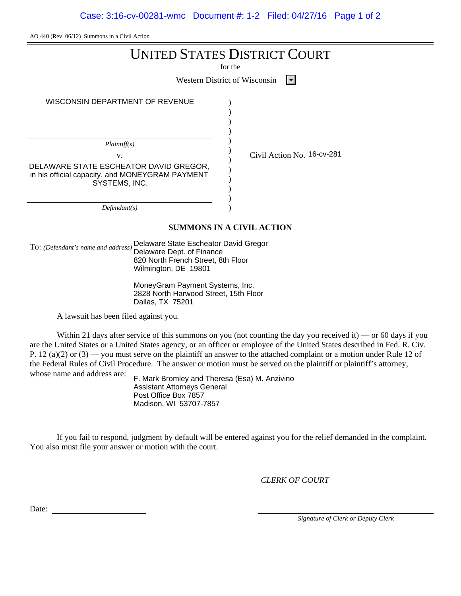Case: 3:16-cv-00281-wmc Document #: 1-2 Filed: 04/27/16 Page 1 of 2

AO 440 (Rev. 06/12) Summons in a Civil Action

|                                                                                                                                                                        | <b>UNITED STATES DISTRICT COURT</b><br>for the                                                                                                                                                                                           |
|------------------------------------------------------------------------------------------------------------------------------------------------------------------------|------------------------------------------------------------------------------------------------------------------------------------------------------------------------------------------------------------------------------------------|
|                                                                                                                                                                        |                                                                                                                                                                                                                                          |
|                                                                                                                                                                        | <b>Western District of Wisconsin</b>                                                                                                                                                                                                     |
| WISCONSIN DEPARTMENT OF REVENUE                                                                                                                                        |                                                                                                                                                                                                                                          |
| Plaintiff(s)<br>V.<br>DELAWARE STATE ESCHEATOR DAVID GREGOR,<br>in his official capacity, and MONEYGRAM PAYMENT<br>SYSTEMS, INC.                                       | Civil Action No. 16-cv-281                                                                                                                                                                                                               |
| Defendant(s)                                                                                                                                                           |                                                                                                                                                                                                                                          |
|                                                                                                                                                                        | <b>SUMMONS IN A CIVIL ACTION</b>                                                                                                                                                                                                         |
| Delaware State Escheator David Gregor<br>To: (Defendant's name and address)<br>Delaware Dept. of Finance<br>820 North French Street, 8th Floor<br>Wilmington, DE 19801 |                                                                                                                                                                                                                                          |
| MoneyGram Payment Systems, Inc.<br>2828 North Harwood Street, 15th Floor<br>Dallas, TX 75201                                                                           |                                                                                                                                                                                                                                          |
| A lawsuit has been filed against you.                                                                                                                                  |                                                                                                                                                                                                                                          |
|                                                                                                                                                                        | Within 21 days after service of this summons on you (not counting the day you received it) — or 60 days if you<br>are the United States or a United States agancy or an officer or amployee of the United States described in Ead P. Civ |

are the United States or a United States agency, or an officer or employee of the United States described in Fed. R. Civ. P. 12 (a)(2) or (3) — you must serve on the plaintiff an answer to the attached complaint or a motion under Rule 12 of the Federal Rules of Civil Procedure. The answer or motion must be served on the plaintiff or plaintiff's attorney, whose name and address are:

F. Mark Bromley and Theresa (Esa) M. Anzivino Assistant Attorneys General Post Office Box 7857 Madison, WI 53707-7857

If you fail to respond, judgment by default will be entered against you for the relief demanded in the complaint. You also must file your answer or motion with the court.

*CLERK OF COURT*

Date:

*Signature of Clerk or Deputy Clerk*